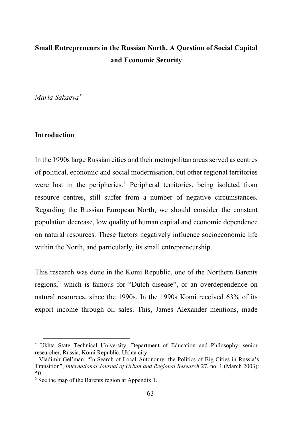# **Small Entrepreneurs in the Russian North. A Question of Social Capital and Economic Security**

*Maria Sakaeva[\\*](#page-0-0)*

### **Introduction**

 $\overline{a}$ 

In the 1990s large Russian cities and their metropolitan areas served as centres of political, economic and social modernisation, but other regional territories were lost in the peripheries.<sup>[1](#page-0-1)</sup> Peripheral territories, being isolated from resource centres, still suffer from a number of negative circumstances. Regarding the Russian European North, we should consider the constant population decrease, low quality of human capital and economic dependence on natural resources. These factors negatively influence socioeconomic life within the North, and particularly, its small entrepreneurship.

This research was done in the Komi Republic, one of the Northern Barents regions,<sup>[2](#page-0-2)</sup> which is famous for "Dutch disease", or an overdependence on natural resources, since the 1990s. In the 1990s Komi received 63% of its export income through oil sales. This, James Alexander mentions, made

<span id="page-0-0"></span><sup>\*</sup> Ukhta State Technical University, Department of Education and Philosophy, senior researcher, Russia, Komi Republic, Ukhta city.

<span id="page-0-1"></span><sup>&</sup>lt;sup>1</sup> Vladimir Gel'man, "In Search of Local Autonomy: the Politics of Big Cities in Russia's Transition", *International Journal of Urban and Regional Research* 27, no. 1 (March 2003): 50.

<span id="page-0-2"></span><sup>2</sup> See the map of the Barents region at Appendix 1.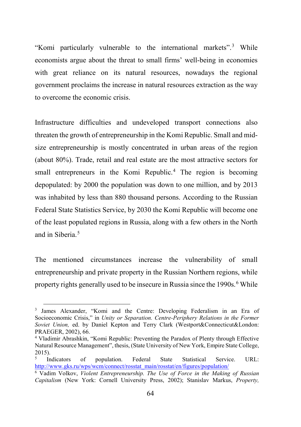"Komi particularly vulnerable to the international markets".[3](#page-1-0) While economists argue about the threat to small firms' well-being in economies with great reliance on its natural resources, nowadays the regional government proclaims the increase in natural resources extraction as the way to overcome the economic crisis.

Infrastructure difficulties and undeveloped transport connections also threaten the growth of entrepreneurship in the Komi Republic. Small and midsize entrepreneurship is mostly concentrated in urban areas of the region (about 80%). Trade, retail and real estate are the most attractive sectors for small entrepreneurs in the Komi Republic.<sup>[4](#page-1-1)</sup> The region is becoming depopulated: by 2000 the population was down to one million, and by 2013 was inhabited by less than 880 thousand persons. According to the Russian Federal State Statistics Service, by 2030 the Komi Republic will become one of the least populated regions in Russia, along with a few others in the North and in Siberia.<sup>[5](#page-1-2)</sup>

The mentioned circumstances increase the vulnerability of small entrepreneurship and private property in the Russian Northern regions, while property rights generally used to be insecure in Russia since the 1990s.<sup>[6](#page-1-3)</sup> While

<span id="page-1-0"></span><sup>3</sup> James Alexander, "Komi and the Centre: Developing Federalism in an Era of Socioeconomic Crisis," in *Unity or Separation. Centre-Periphery Relations in the Former Soviet Union,* ed. by Daniel Kepton and Terry Clark (Westport&Connecticut&London: PRAEGER, 2002), 66.

<span id="page-1-1"></span><sup>4</sup> Vladimir Abrashkin, "Komi Republic: Preventing the Paradox of Plenty through Effective Natural Resource Management", thesis, (State University of New York, Empire State College,

<span id="page-1-2"></span><sup>2015).&</sup>lt;br><sup>5</sup> Indicators of population. Federal State Statistical Service. URL: [http://www.gks.ru/wps/wcm/connect/rosstat\\_main/rosstat/en/figures/population/](http://www.gks.ru/wps/wcm/connect/rosstat_main/rosstat/en/figures/population/) 6 Vadim Volkov, *Violent Entrepreneurship. The Use of Force in the Making of Russian* 

<span id="page-1-3"></span>*Capitalism* (New York: Cornell University Press, 2002); Stanislav Markus, *Property,*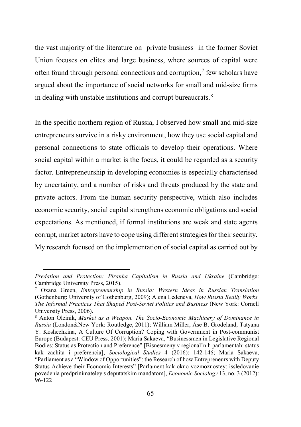the vast majority of the literature on private business in the former Soviet Union focuses on elites and large business, where sources of capital were often found through personal connections and corruption,<sup>[7](#page-2-0)</sup> few scholars have argued about the importance of social networks for small and mid-size firms in dealing with unstable institutions and corrupt bureaucrats. $8$ 

In the specific northern region of Russia, I observed how small and mid-size entrepreneurs survive in a risky environment, how they use social capital and personal connections to state officials to develop their operations. Where social capital within a market is the focus, it could be regarded as a security factor. Entrepreneurship in developing economies is especially characterised by uncertainty, and a number of risks and threats produced by the state and private actors. From the human security perspective, which also includes economic security, social capital strengthens economic obligations and social expectations. As mentioned, if formal institutions are weak and state agents corrupt, market actors have to cope using different strategies for their security. My research focused on the implementation of social capital as carried out by

*Predation and Protection: Piranha Capitalism in Russia and Ukraine* (Cambridge: Cambridge University Press, 2015).<br><sup>7</sup> Oxana Green, *Entrepreneurship in Russia: Western Ideas in Russian Translation* 

<span id="page-2-0"></span><sup>(</sup>Gothenburg: University of Gothenburg, 2009); Alena Ledeneva, *How Russia Really Works. The Informal Practices That Shaped Post-Soviet Politics and Business* (New York: Cornell University Press, 2006).

<span id="page-2-1"></span><sup>8</sup> Anton Oleinik, *Market as a Weapon. The Socio-Economic Machinery of Dominance in Russia* (London&New York: Routledge, 2011); William Miller, Äse B. Grodeland, Tatyana Y. Koshechkina, A Culture Of Corruption? Coping with Government in Post-communist Europe (Budapest: CEU Press, 2001); Maria Sakaeva, "Businessmen in Legislative Regional Bodies: Status as Protection and Preference" [Bisnesmeny v regional'nih parlamentah: status kak zachita i preferencia], *Sociological Studies* 4 (2016): 142-146; Maria Sakaeva, "Parliament as a "Window of Opportunities": the Research of how Entrepreneurs with Deputy Status Achieve their Economic Interests" [Parlament kak okno vozmoznostey: issledovanie povedenia predprinimateley s deputatskim mandatom], *Economic Sociology* 13, no. 3 (2012): 96-122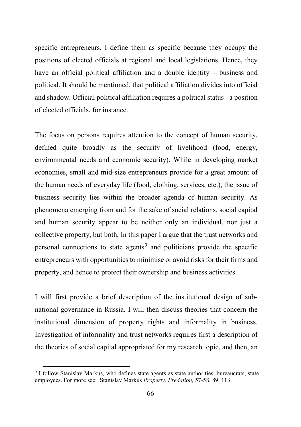specific entrepreneurs. I define them as specific because they occupy the positions of elected officials at regional and local legislations. Hence, they have an official political affiliation and a double identity – business and political. It should be mentioned, that political affiliation divides into official and shadow. Official political affiliation requires a political status - a position of elected officials, for instance.

The focus on persons requires attention to the concept of human security, defined quite broadly as the security of livelihood (food, energy, environmental needs and economic security). While in developing market economies, small and mid-size entrepreneurs provide for a great amount of the human needs of everyday life (food, clothing, services, etc.), the issue of business security lies within the broader agenda of human security. As phenomena emerging from and for the sake of social relations, social capital and human security appear to be neither only an individual, nor just a collective property, but both. In this paper I argue that the trust networks and personal connections to state agents<sup>[9](#page-3-0)</sup> and politicians provide the specific entrepreneurs with opportunities to minimise or avoid risks for their firms and property, and hence to protect their ownership and business activities.

I will first provide a brief description of the institutional design of subnational governance in Russia. I will then discuss theories that concern the institutional dimension of property rights and informality in business. Investigation of informality and trust networks requires first a description of the theories of social capital appropriated for my research topic, and then, an

<span id="page-3-0"></span><sup>9</sup> I follow Stanislav Markus, who defines state agents as state authorities, bureaucrats, state employees. For more see: Stanislav Markus *Property, Predation,* 57-58, 89, 113.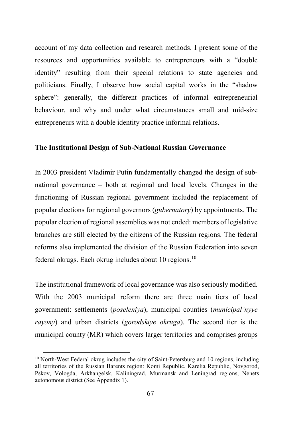account of my data collection and research methods. I present some of the resources and opportunities available to entrepreneurs with a "double identity" resulting from their special relations to state agencies and politicians. Finally, I observe how social capital works in the "shadow sphere": generally, the different practices of informal entrepreneurial behaviour, and why and under what circumstances small and mid-size entrepreneurs with a double identity practice informal relations.

#### **The Institutional Design of Sub-National Russian Governance**

In 2003 president Vladimir Putin fundamentally changed the design of subnational governance – both at regional and local levels. Changes in the functioning of Russian regional government included the replacement of popular elections for regional governors (*gubernatory*) by appointments. The popular election of regional assemblies was not ended: members of legislative branches are still elected by the citizens of the Russian regions. The federal reforms also implemented the division of the Russian Federation into seven federal okrugs. Each okrug includes about [10](#page-4-0) regions.<sup>10</sup>

The institutional framework of local governance was also seriously modified. With the 2003 municipal reform there are three main tiers of local government: settlements (*poseleniya*), municipal counties (*municipal'nyye rayony*) and urban districts (*gorodskiye okruga*). The second tier is the municipal county (MR) which covers larger territories and comprises groups

l

<span id="page-4-0"></span> $10$  North-West Federal okrug includes the city of Saint-Petersburg and 10 regions, including all territories of the Russian Barents region: Komi Republic, Karelia Republic, Novgorod, Pskov, Vologda, Arkhangelsk, Kaliningrad, Murmansk and Leningrad regions, Nenets autonomous district (See Appendix 1).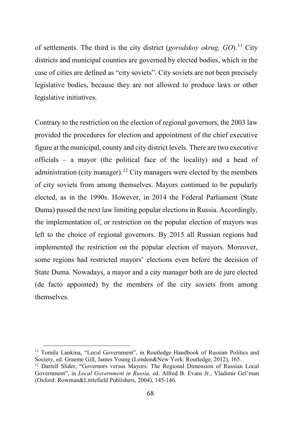of settlements. The third is the city district (*gorodskoy okrug, GO*).<sup>[11](#page-5-0)</sup> City districts and municipal counties are governed by elected bodies, which in the case of cities are defined as "city soviets". City soviets are not been precisely legislative bodies, because they are not allowed to produce laws or other legislative initiatives.

Contrary to the restriction on the election of regional governors, the 2003 law provided the procedures for election and appointment of the chief executive figure at the municipal, county and city district levels. There are two executive officials – a mayor (the political face of the locality) and a head of administration (city manager).<sup>[12](#page-5-1)</sup> City managers were elected by the members of city soviets from among themselves. Mayors continued to be popularly elected, as in the 1990s. However, in 2014 the Federal Parliament (State Duma) passed the next law limiting popular elections in Russia. Accordingly, the implementation of, or restriction on the popular election of mayors was left to the choice of regional governors. By 2015 all Russian regions had implemented the restriction on the popular election of mayors. Moreover, some regions had restricted mayors' elections even before the decision of State Duma. Nowadays, a mayor and a city manager both are de jure elected (de facto appointed) by the members of the city soviets from among themselves.

<span id="page-5-0"></span><sup>&</sup>lt;sup>11</sup> Tomila Lankina, "Local Government", in Routledge Handbook of Russian Politics and Society, ed. Graeme Gill, James Young (London&New York: Routledge, 2012), 165.

<span id="page-5-1"></span><sup>12</sup> Darrell Slider, "Governors versus Mayors: The Regional Dimension of Russian Local Government", in *Local Government in Russia,* ed. Alfred B. Evans Jr., Vladimir Gel'man (Oxford: Rowman&Littlefield Publishers, 2004), 145-146.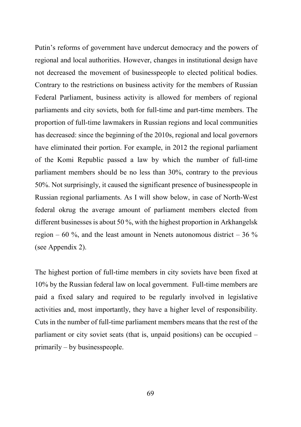Putin's reforms of government have undercut democracy and the powers of regional and local authorities. However, changes in institutional design have not decreased the movement of businesspeople to elected political bodies. Contrary to the restrictions on business activity for the members of Russian Federal Parliament, business activity is allowed for members of regional parliaments and city soviets, both for full-time and part-time members. The proportion of full-time lawmakers in Russian regions and local communities has decreased: since the beginning of the 2010s, regional and local governors have eliminated their portion. For example, in 2012 the regional parliament of the Komi Republic passed a law by which the number of full-time parliament members should be no less than 30%, contrary to the previous 50%. Not surprisingly, it caused the significant presence of businesspeople in Russian regional parliaments. As I will show below, in case of North-West federal okrug the average amount of parliament members elected from different businesses is about 50 %, with the highest proportion in Arkhangelsk region – 60  $\%$ , and the least amount in Nenets autonomous district – 36  $\%$ (see Appendix 2).

The highest portion of full-time members in city soviets have been fixed at 10% by the Russian federal law on local government. Full-time members are paid a fixed salary and required to be regularly involved in legislative activities and, most importantly, they have a higher level of responsibility. Cuts in the number of full-time parliament members means that the rest of the parliament or city soviet seats (that is, unpaid positions) can be occupied – primarily – by businesspeople.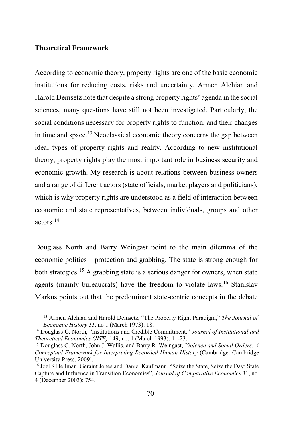### **Theoretical Framework**

 $\overline{\phantom{a}}$ 

According to economic theory, property rights are one of the basic economic institutions for reducing costs, risks and uncertainty. Armen Alchian and Harold Demsetz note that despite a strong property rights' agenda in the social sciences, many questions have still not been investigated. Particularly, the social conditions necessary for property rights to function, and their changes in time and space.<sup>[13](#page-7-0)</sup> Neoclassical economic theory concerns the gap between ideal types of property rights and reality. According to new institutional theory, property rights play the most important role in business security and economic growth. My research is about relations between business owners and a range of different actors (state officials, market players and politicians), which is why property rights are understood as a field of interaction between economic and state representatives, between individuals, groups and other actors.[14](#page-7-1)

Douglass North and Barry Weingast point to the main dilemma of the economic politics – protection and grabbing. The state is strong enough for both strategies.<sup>[15](#page-7-2)</sup> A grabbing state is a serious danger for owners, when state agents (mainly bureaucrats) have the freedom to violate laws.<sup>[16](#page-7-3)</sup> Stanislav Markus points out that the predominant state-centric concepts in the debate

<sup>13</sup> Armen Alchian and Harold Demsetz, "The Property Right Paradigm," *The Journal of Economic History* 33, no 1 (March 1973): 18.

<span id="page-7-1"></span><span id="page-7-0"></span><sup>14</sup> Douglass C. North, "Institutions and Credible Commitment," *Journal of Institutional and Theoretical Economics (JITE)* 149, no. 1 (March 1993): 11-23.

<span id="page-7-2"></span><sup>15</sup> Douglass C. North, John J. Wallis, and Barry R. Weingast, *Violence and Social Orders: A Conceptual Framework for Interpreting Recorded Human History* (Cambridge: Cambridge University Press, 2009).

<span id="page-7-3"></span><sup>16</sup> Joel S Hellman, Geraint Jones and Daniel Kaufmann, "Seize the State, Seize the Day: State Capture and Influence in Transition Economies", *Journal of Comparative Economics* 31, no. 4 (December 2003): 754.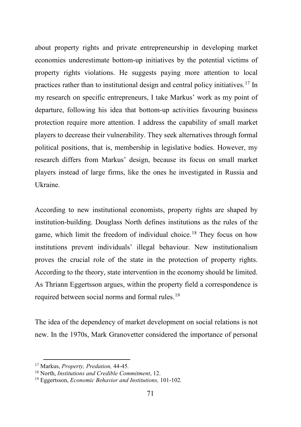about property rights and private entrepreneurship in developing market economies underestimate bottom-up initiatives by the potential victims of property rights violations. He suggests paying more attention to local practices rather than to institutional design and central policy initiatives.[17](#page-8-0) In my research on specific entrepreneurs, I take Markus' work as my point of departure, following his idea that bottom-up activities favouring business protection require more attention. I address the capability of small market players to decrease their vulnerability. They seek alternatives through formal political positions, that is, membership in legislative bodies. However, my research differs from Markus' design, because its focus on small market players instead of large firms, like the ones he investigated in Russia and Ukraine.

According to new institutional economists, property rights are shaped by institution-building. Douglass North defines institutions as the rules of the game, which limit the freedom of individual choice.<sup>[18](#page-8-1)</sup> They focus on how institutions prevent individuals' illegal behaviour. New institutionalism proves the crucial role of the state in the protection of property rights. According to the theory, state intervention in the economy should be limited. As Thriann Eggertsson argues, within the property field a correspondence is required between social norms and formal rules.[19](#page-8-2)

The idea of the dependency of market development on social relations is not new. In the 1970s, Mark Granovetter considered the importance of personal

l

<span id="page-8-0"></span><sup>17</sup> Markus, *Property, Predation,* 44-45*.*

<span id="page-8-1"></span><sup>18</sup> North, *Institutions and Credible Commitment*, 12.

<span id="page-8-2"></span><sup>19</sup> Eggertsson, *Economic Behavior and Institutions,* 101-102*.*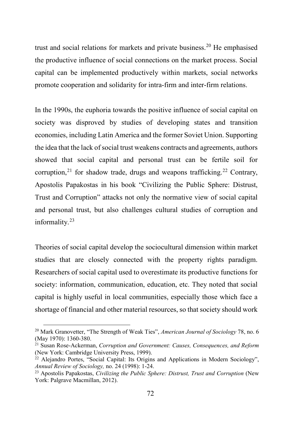trust and social relations for markets and private business.<sup>[20](#page-9-0)</sup> He emphasised the productive influence of social connections on the market process. Social capital can be implemented productively within markets, social networks promote cooperation and solidarity for intra-firm and inter-firm relations.

In the 1990s, the euphoria towards the positive influence of social capital on society was disproved by studies of developing states and transition economies, including Latin America and the former Soviet Union. Supporting the idea that the lack of social trust weakens contracts and agreements, authors showed that social capital and personal trust can be fertile soil for corruption,<sup>[21](#page-9-1)</sup> for shadow trade, drugs and weapons trafficking.<sup>[22](#page-9-2)</sup> Contrary, Apostolis Papakostas in his book "Civilizing the Public Sphere: Distrust, Trust and Corruption" attacks not only the normative view of social capital and personal trust, but also challenges cultural studies of corruption and informality.[23](#page-9-3)

Theories of social capital develop the sociocultural dimension within market studies that are closely connected with the property rights paradigm. Researchers of social capital used to overestimate its productive functions for society: information, communication, education, etc. They noted that social capital is highly useful in local communities, especially those which face a shortage of financial and other material resources, so that society should work

<span id="page-9-0"></span><sup>&</sup>lt;sup>20</sup> Mark Granovetter, "The Strength of Weak Ties", *American Journal of Sociology* 78, no. 6 (May 1970): 1360-380.

<span id="page-9-1"></span><sup>&</sup>lt;sup>21</sup> Susan Rose-Ackerman, *Corruption and Government: Causes, Consequences, and Reform (New York: Cambridge University Press, 1999).* 

<span id="page-9-2"></span> $^{22}$  Alejandro Portes, "Social Capital: Its Origins and Applications in Modern Sociology", *Annual Review of Sociology,* no. 24 (1998): 1-24.

<span id="page-9-3"></span><sup>&</sup>lt;sup>23</sup> Apostolis Papakostas, *Civilizing the Public Sphere: Distrust, Trust and Corruption* (New York: Palgrave Macmillan, 2012).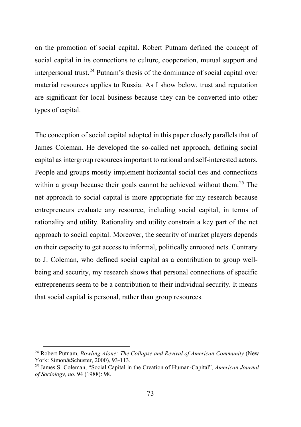on the promotion of social capital. Robert Putnam defined the concept of social capital in its connections to culture, cooperation, mutual support and interpersonal trust.<sup>[24](#page-10-0)</sup> Putnam's thesis of the dominance of social capital over material resources applies to Russia. As I show below, trust and reputation are significant for local business because they can be converted into other types of capital.

The conception of social capital adopted in this paper closely parallels that of James Coleman. He developed the so-called net approach, defining social capital as intergroup resources important to rational and self-interested actors. People and groups mostly implement horizontal social ties and connections within a group because their goals cannot be achieved without them.<sup>[25](#page-10-1)</sup> The net approach to social capital is more appropriate for my research because entrepreneurs evaluate any resource, including social capital, in terms of rationality and utility. Rationality and utility constrain a key part of the net approach to social capital. Moreover, the security of market players depends on their capacity to get access to informal, politically enrooted nets. Contrary to J. Coleman, who defined social capital as a contribution to group wellbeing and security, my research shows that personal connections of specific entrepreneurs seem to be a contribution to their individual security. It means that social capital is personal, rather than group resources.

<span id="page-10-0"></span><sup>&</sup>lt;sup>24</sup> Robert Putnam, *Bowling Alone: The Collapse and Revival of American Community* (New York: Simon&Schuster, 2000), 93-113.

<span id="page-10-1"></span><sup>25</sup> James S. Coleman, "Social Capital in the Creation of Human-Capital", *American Journal of Sociology, no.* 94 (1988): 98.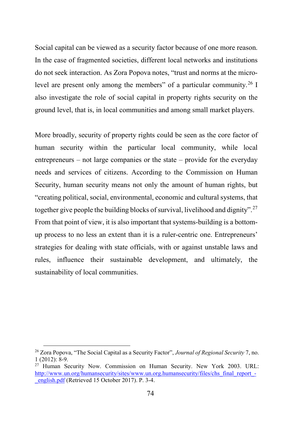Social capital can be viewed as a security factor because of one more reason. In the case of fragmented societies, different local networks and institutions do not seek interaction. As Zora Popova notes, "trust and norms at the micro-level are present only among the members" of a particular community.<sup>[26](#page-11-0)</sup> I also investigate the role of social capital in property rights security on the ground level, that is, in local communities and among small market players.

More broadly, security of property rights could be seen as the core factor of human security within the particular local community, while local entrepreneurs – not large companies or the state – provide for the everyday needs and services of citizens. According to the Commission on Human Security, human security means not only the amount of human rights, but "creating political, social, environmental, economic and cultural systems, that together give people the building blocks of survival, livelihood and dignity".<sup>[27](#page-11-1)</sup> From that point of view, it is also important that systems-building is a bottomup process to no less an extent than it is a ruler-centric one. Entrepreneurs' strategies for dealing with state officials, with or against unstable laws and rules, influence their sustainable development, and ultimately, the sustainability of local communities.

<span id="page-11-0"></span><sup>26</sup> Zora Popova, "The Social Capital as a Security Factor", *Journal of Regional Security* 7, no. 1 (2012): 8-9.

<span id="page-11-1"></span><sup>27</sup> Human Security Now. Commission on Human Security. New York 2003. URL: [http://www.un.org/humansecurity/sites/www.un.org.humansecurity/files/chs\\_final\\_report\\_-](http://www.un.org/humansecurity/sites/www.un.org.humansecurity/files/chs_final_report_-_english.pdf) [\\_english.pdf](http://www.un.org/humansecurity/sites/www.un.org.humansecurity/files/chs_final_report_-_english.pdf) (Retrieved 15 October 2017). P. 3-4.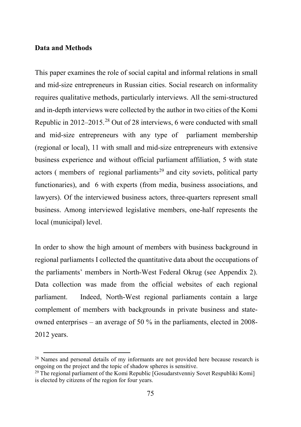### **Data and Methods**

l

This paper examines the role of social capital and informal relations in small and mid-size entrepreneurs in Russian cities. Social research on informality requires qualitative methods, particularly interviews. All the semi-structured and in-depth interviews were collected by the author in two cities of the Komi Republic in 2012–2015.[28](#page-12-0) Out of 28 interviews, 6 were conducted with small and mid-size entrepreneurs with any type of parliament membership (regional or local), 11 with small and mid-size entrepreneurs with extensive business experience and without official parliament affiliation, 5 with state actors ( members of regional parliaments<sup>[29](#page-12-1)</sup> and city soviets, political party functionaries), and 6 with experts (from media, business associations, and lawyers). Of the interviewed business actors, three-quarters represent small business. Among interviewed legislative members, one-half represents the local (municipal) level.

In order to show the high amount of members with business background in regional parliaments I collected the quantitative data about the occupations of the parliaments' members in North-West Federal Okrug (see Appendix 2). Data collection was made from the official websites of each regional parliament. Indeed, North-West regional parliaments contain a large complement of members with backgrounds in private business and stateowned enterprises – an average of 50 % in the parliaments, elected in 2008- 2012 years.

<span id="page-12-0"></span> $2<sup>8</sup>$  Names and personal details of my informants are not provided here because research is ongoing on the project and the topic of shadow spheres is sensitive.

<span id="page-12-1"></span><sup>&</sup>lt;sup>29</sup> The regional parliament of the Komi Republic [Gosudarstvenniy Sovet Respubliki Komi] is elected by citizens of the region for four years.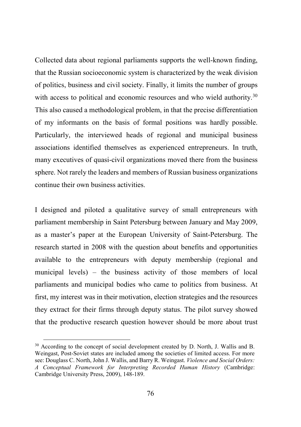Collected data about regional parliaments supports the well-known finding, that the Russian socioeconomic system is characterized by the weak division of politics, business and civil society. Finally, it limits the number of groups with access to political and economic resources and who wield authority.<sup>[30](#page-13-0)</sup> This also caused a methodological problem, in that the precise differentiation of my informants on the basis of formal positions was hardly possible. Particularly, the interviewed heads of regional and municipal business associations identified themselves as experienced entrepreneurs. In truth, many executives of quasi-civil organizations moved there from the business sphere. Not rarely the leaders and members of Russian business organizations continue their own business activities.

I designed and piloted a qualitative survey of small entrepreneurs with parliament membership in Saint Petersburg between January and May 2009, as a master's paper at the European University of Saint-Petersburg. The research started in 2008 with the question about benefits and opportunities available to the entrepreneurs with deputy membership (regional and municipal levels) – the business activity of those members of local parliaments and municipal bodies who came to politics from business. At first, my interest was in their motivation, election strategies and the resources they extract for their firms through deputy status. The pilot survey showed that the productive research question however should be more about trust

l

<span id="page-13-0"></span><sup>&</sup>lt;sup>30</sup> According to the concept of social development created by D. North, J. Wallis and B. Weingast, Post-Soviet states are included among the societies of limited access. For more see: Douglass C. North, John J. Wallis, and Barry R. Weingast. *Violence and Social Orders: A Conceptual Framework for Interpreting Recorded Human History* (Cambridge: Cambridge University Press, 2009), 148-189.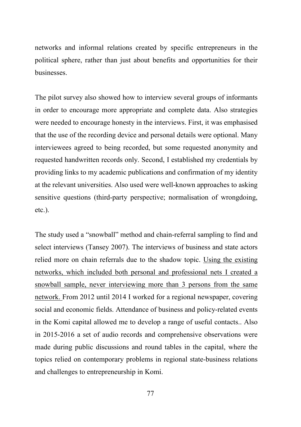networks and informal relations created by specific entrepreneurs in the political sphere, rather than just about benefits and opportunities for their **businesses** 

The pilot survey also showed how to interview several groups of informants in order to encourage more appropriate and complete data. Also strategies were needed to encourage honesty in the interviews. First, it was emphasised that the use of the recording device and personal details were optional. Many interviewees agreed to being recorded, but some requested anonymity and requested handwritten records only. Second, I established my credentials by providing links to my academic publications and confirmation of my identity at the relevant universities. Also used were well-known approaches to asking sensitive questions (third-party perspective; normalisation of wrongdoing, etc.).

The study used a "snowball" method and chain-referral sampling to find and select interviews (Tansey 2007). The interviews of business and state actors relied more on chain referrals due to the shadow topic. Using the existing networks, which included both personal and professional nets I created a snowball sample, never interviewing more than 3 persons from the same network. From 2012 until 2014 I worked for a regional newspaper, covering social and economic fields. Attendance of business and policy-related events in the Komi capital allowed me to develop a range of useful contacts.. Also in 2015-2016 a set of audio records and comprehensive observations were made during public discussions and round tables in the capital, where the topics relied on contemporary problems in regional state-business relations and challenges to entrepreneurship in Komi.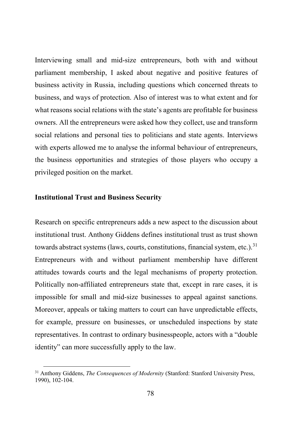Interviewing small and mid-size entrepreneurs, both with and without parliament membership, I asked about negative and positive features of business activity in Russia, including questions which concerned threats to business, and ways of protection. Also of interest was to what extent and for what reasons social relations with the state's agents are profitable for business owners. All the entrepreneurs were asked how they collect, use and transform social relations and personal ties to politicians and state agents. Interviews with experts allowed me to analyse the informal behaviour of entrepreneurs, the business opportunities and strategies of those players who occupy a privileged position on the market.

#### **Institutional Trust and Business Security**

 $\overline{\phantom{a}}$ 

Research on specific entrepreneurs adds a new aspect to the discussion about institutional trust. Anthony Giddens defines institutional trust as trust shown towards abstract systems (laws, courts, constitutions, financial system, etc.).<sup>[31](#page-15-0)</sup> Entrepreneurs with and without parliament membership have different attitudes towards courts and the legal mechanisms of property protection. Politically non-affiliated entrepreneurs state that, except in rare cases, it is impossible for small and mid-size businesses to appeal against sanctions. Moreover, appeals or taking matters to court can have unpredictable effects, for example, pressure on businesses, or unscheduled inspections by state representatives. In contrast to ordinary businesspeople, actors with a "double identity" can more successfully apply to the law.

<span id="page-15-0"></span><sup>31</sup> Anthony Giddens, *The Consequences of Modernity* (Stanford: Stanford University Press, 1990), 102-104.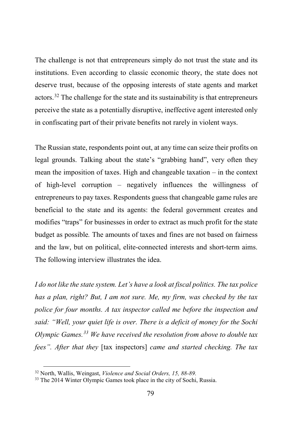The challenge is not that entrepreneurs simply do not trust the state and its institutions. Even according to classic economic theory, the state does not deserve trust, because of the opposing interests of state agents and market actors.<sup>[32](#page-16-0)</sup> The challenge for the state and its sustainability is that entrepreneurs perceive the state as a potentially disruptive, ineffective agent interested only in confiscating part of their private benefits not rarely in violent ways.

The Russian state, respondents point out, at any time can seize their profits on legal grounds. Talking about the state's "grabbing hand", very often they mean the imposition of taxes. High and changeable taxation – in the context of high-level corruption – negatively influences the willingness of entrepreneurs to pay taxes. Respondents guess that changeable game rules are beneficial to the state and its agents: the federal government creates and modifies "traps" for businesses in order to extract as much profit for the state budget as possible*.* The amounts of taxes and fines are not based on fairness and the law, but on political, elite-connected interests and short-term aims. The following interview illustrates the idea.

*I do not like the state system. Let's have a look at fiscal politics. The tax police has a plan, right? But, I am not sure. Me, my firm, was checked by the tax police for four months. A tax inspector called me before the inspection and said: "Well, your quiet life is over. There is a deficit of money for the Sochi Olympic Games.[33](#page-16-1) We have received the resolution from above to double tax fees". After that they* [tax inspectors] *came and started checking. The tax* 

<span id="page-16-0"></span><sup>32</sup> North, Wallis, Weingast, *Violence and Social Orders, 15, 88-89.*

<span id="page-16-1"></span><sup>&</sup>lt;sup>33</sup> The 2014 Winter Olympic Games took place in the city of Sochi, Russia.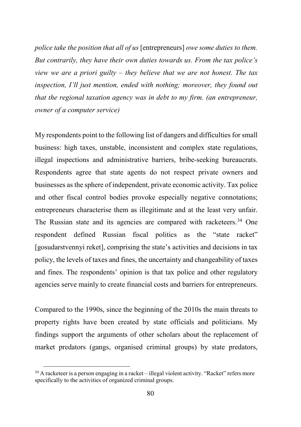*police take the position that all of us* [entrepreneurs] *owe some duties to them. But contrarily, they have their own duties towards us. From the tax police's view we are a priori guilty – they believe that we are not honest. The tax inspection, I'll just mention, ended with nothing; moreover, they found out that the regional taxation agency was in debt to my firm. (an entrepreneur, owner of a computer service)* 

My respondents point to the following list of dangers and difficulties for small business: high taxes, unstable, inconsistent and complex state regulations, illegal inspections and administrative barriers, bribe-seeking bureaucrats. Respondents agree that state agents do not respect private owners and businesses as the sphere of independent, private economic activity. Tax police and other fiscal control bodies provoke especially negative connotations; entrepreneurs characterise them as illegitimate and at the least very unfair. The Russian state and its agencies are compared with racketeers.<sup>[34](#page-17-0)</sup> One respondent defined Russian fiscal politics as the "state racket" [gosudarstvennyi reket], comprising the state's activities and decisions in tax policy, the levels of taxes and fines, the uncertainty and changeability of taxes and fines. The respondents' opinion is that tax police and other regulatory agencies serve mainly to create financial costs and barriers for entrepreneurs.

Compared to the 1990s, since the beginning of the 2010s the main threats to property rights have been created by state officials and politicians. My findings support the arguments of other scholars about the replacement of market predators (gangs, organised criminal groups) by state predators,

<span id="page-17-0"></span><sup>&</sup>lt;sup>34</sup> A racketeer is a person engaging in a racket – illegal violent activity. "Racket" refers more specifically to the activities of organized criminal groups.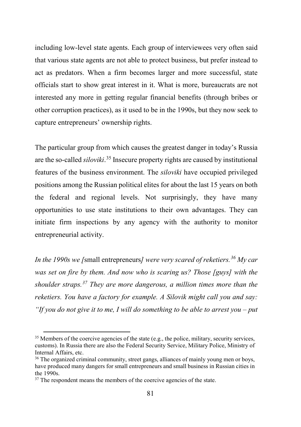including low-level state agents. Each group of interviewees very often said that various state agents are not able to protect business, but prefer instead to act as predators. When a firm becomes larger and more successful, state officials start to show great interest in it. What is more, bureaucrats are not interested any more in getting regular financial benefits (through bribes or other corruption practices), as it used to be in the 1990s, but they now seek to capture entrepreneurs' ownership rights.

The particular group from which causes the greatest danger in today's Russia are the so-called *siloviki*. [35](#page-18-0) Insecure property rights are caused by institutional features of the business environment. The *siloviki* have occupied privileged positions among the Russian political elites for about the last 15 years on both the federal and regional levels. Not surprisingly, they have many opportunities to use state institutions to their own advantages. They can initiate firm inspections by any agency with the authority to monitor entrepreneurial activity.

*In the 1990s we [*small entrepreneurs*] were very scared of reketiers.[36](#page-18-1) My car was set on fire by them. And now who is scaring us? Those [guys] with the shoulder straps.[37](#page-18-2) They are more dangerous, a million times more than the reketiers. You have a factory for example. A Silovik might call you and say: "If you do not give it to me, I will do something to be able to arrest you – put* 

<span id="page-18-0"></span> $35$  Members of the coercive agencies of the state (e.g., the police, military, security services, customs). In Russia there are also the Federal Security Service, Military Police, Ministry of Internal Affairs, etc.

<span id="page-18-1"></span><sup>&</sup>lt;sup>36</sup> The organized criminal community, street gangs, alliances of mainly young men or boys, have produced many dangers for small entrepreneurs and small business in Russian cities in the 1990s.

<span id="page-18-2"></span> $37$  The respondent means the members of the coercive agencies of the state.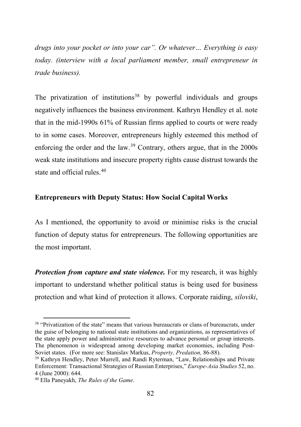*drugs into your pocket or into your car". Or whatever… Everything is easy today. (interview with a local parliament member, small entrepreneur in trade business).* 

The privatization of institutions<sup>[38](#page-19-0)</sup> by powerful individuals and groups negatively influences the business environment. Kathryn Hendley et al. note that in the mid-1990s 61% of Russian firms applied to courts or were ready to in some cases. Moreover, entrepreneurs highly esteemed this method of enforcing the order and the law.<sup>[39](#page-19-1)</sup> Contrary, others argue, that in the  $2000s$ weak state institutions and insecure property rights cause distrust towards the state and official rules  $40$ 

### **Entrepreneurs with Deputy Status: How Social Capital Works**

As I mentioned, the opportunity to avoid or minimise risks is the crucial function of deputy status for entrepreneurs. The following opportunities are the most important.

*Protection from capture and state violence.* For my research, it was highly important to understand whether political status is being used for business protection and what kind of protection it allows. Corporate raiding, *siloviki*,

l

<span id="page-19-0"></span><sup>&</sup>lt;sup>38</sup> "Privatization of the state" means that various bureaucrats or clans of bureaucrats, under the guise of belonging to national state institutions and organizations, as representatives of the state apply power and administrative resources to advance personal or group interests. The phenomenon is widespread among developing market economies, including Post-Soviet states. (For more see: Stanislav Markus, *Property, Predation,* 86-88).

<span id="page-19-1"></span><sup>39</sup> Kathryn Hendley, Peter Murrell, and Randi Ryterman, "Law, Relationships and Private Enforcement: Transactional Strategies of Russian Enterprises," *Europe-Asia Studies* 52, no. 4 (June 2000): 644.

<span id="page-19-2"></span><sup>40</sup> Ella Paneyakh, *The Rules of the Game*.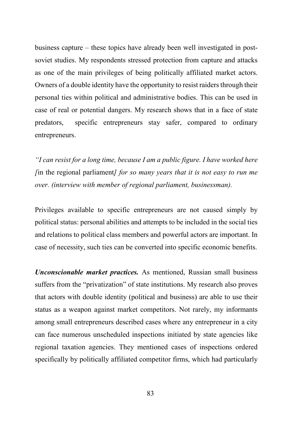business capture – these topics have already been well investigated in postsoviet studies. My respondents stressed protection from capture and attacks as one of the main privileges of being politically affiliated market actors. Owners of a double identity have the opportunity to resist raiders through their personal ties within political and administrative bodies. This can be used in case of real or potential dangers. My research shows that in a face of state predators, specific entrepreneurs stay safer, compared to ordinary entrepreneurs.

*"I can resist for a long time, because I am a public figure. I have worked here [*in the regional parliament*] for so many years that it is not easy to run me over. (interview with member of regional parliament, businessman).* 

Privileges available to specific entrepreneurs are not caused simply by political status: personal abilities and attempts to be included in the social ties and relations to political class members and powerful actors are important. In case of necessity, such ties can be converted into specific economic benefits.

*Unconscionable market practices.* As mentioned, Russian small business suffers from the "privatization" of state institutions. My research also proves that actors with double identity (political and business) are able to use their status as a weapon against market competitors. Not rarely, my informants among small entrepreneurs described cases where any entrepreneur in a city can face numerous unscheduled inspections initiated by state agencies like regional taxation agencies. They mentioned cases of inspections ordered specifically by politically affiliated competitor firms, which had particularly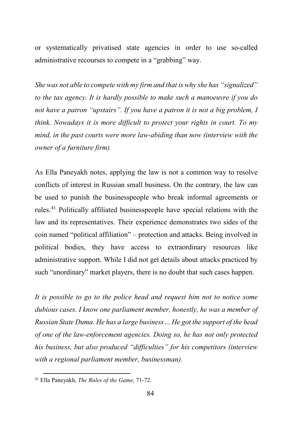or systematically privatised state agencies in order to use so-called administrative recourses to compete in a "grabbing" way.

*She was not able to compete with my firm and that is why she has "signalized" to the tax agency. It is hardly possible to make such a manoeuvre if you do not have a patron "upstairs". If you have a patron it is not a big problem, I think. Nowadays it is more difficult to protect your rights in court. To my mind, in the past courts were more law-abiding than now (interview with the owner of a furniture firm).* 

As Ella Paneyakh notes, applying the law is not a common way to resolve conflicts of interest in Russian small business. On the contrary, the law can be used to punish the businesspeople who break informal agreements or rules.[41](#page-21-0) Politically affiliated businesspeople have special relations with the law and its representatives. Their experience demonstrates two sides of the coin named "political affiliation" – protection and attacks. Being involved in political bodies, they have access to extraordinary resources like administrative support. While I did not get details about attacks practiced by such "unordinary" market players, there is no doubt that such cases happen.

*It is possible to go to the police head and request him not to notice some dubious cases. I know one parliament member, honestly, he was a member of Russian State Duma. He has a large business… He got the support of the head of one of the law-enforcement agencies. Doing so, he has not only protected his business, but also produced "difficulties" for his competitors (interview with a regional parliament member, businessman).* 

<span id="page-21-0"></span><sup>41</sup> Ella Paneyakh, *The Rules of the Game,* 71-72.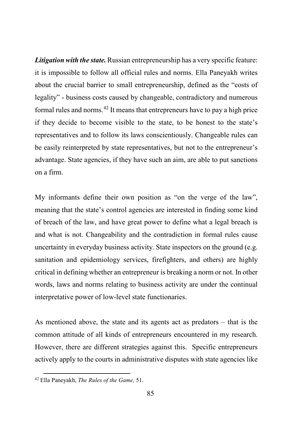*Litigation with the state.* Russian entrepreneurship has a very specific feature: it is impossible to follow all official rules and norms. Ella Paneyakh writes about the crucial barrier to small entrepreneurship, defined as the "costs of legality" - business costs caused by changeable, contradictory and numerous formal rules and norms.<sup>[42](#page-22-0)</sup> It means that entrepreneurs have to pay a high price if they decide to become visible to the state, to be honest to the state's representatives and to follow its laws conscientiously. Changeable rules can be easily reinterpreted by state representatives, but not to the entrepreneur's advantage. State agencies, if they have such an aim, are able to put sanctions on a firm.

My informants define their own position as "on the verge of the law", meaning that the state's control agencies are interested in finding some kind of breach of the law, and have great power to define what a legal breach is and what is not. Changeability and the contradiction in formal rules cause uncertainty in everyday business activity. State inspectors on the ground (e.g. sanitation and epidemiology services, firefighters, and others) are highly critical in defining whether an entrepreneur is breaking a norm or not. In other words, laws and norms relating to business activity are under the continual interpretative power of low-level state functionaries.

As mentioned above, the state and its agents act as predators – that is the common attitude of all kinds of entrepreneurs encountered in my research. However, there are different strategies against this. Specific entrepreneurs actively apply to the courts in administrative disputes with state agencies like

<span id="page-22-0"></span><sup>42</sup> Ella Paneyakh, *The Rules of the Game,* 51.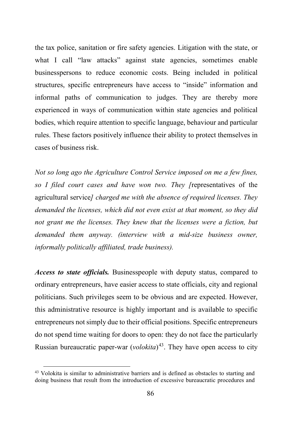the tax police, sanitation or fire safety agencies. Litigation with the state, or what I call "law attacks" against state agencies, sometimes enable businesspersons to reduce economic costs. Being included in political structures, specific entrepreneurs have access to "inside" information and informal paths of communication to judges. They are thereby more experienced in ways of communication within state agencies and political bodies, which require attention to specific language, behaviour and particular rules. These factors positively influence their ability to protect themselves in cases of business risk.

*Not so long ago the Agriculture Control Service imposed on me a few fines, so I filed court cases and have won two. They [*representatives of the agricultural service*] charged me with the absence of required licenses. They demanded the licenses, which did not even exist at that moment, so they did*  not grant me the licenses. They knew that the licenses were a fiction, but *demanded them anyway. (interview with a mid-size business owner, informally politically affiliated, trade business).* 

*Access to state officials.* Businesspeople with deputy status, compared to ordinary entrepreneurs, have easier access to state officials, city and regional politicians. Such privileges seem to be obvious and are expected. However, this administrative resource is highly important and is available to specific entrepreneurs not simply due to their official positions. Specific entrepreneurs do not spend time waiting for doors to open: they do not face the particularly Russian bureaucratic paper-war (*volokita*)<sup>[43](#page-23-0)</sup>. They have open access to city

<span id="page-23-0"></span><sup>&</sup>lt;sup>43</sup> Volokita is similar to administrative barriers and is defined as obstacles to starting and doing business that result from the introduction of excessive bureaucratic procedures and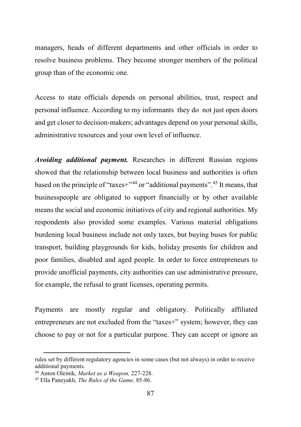managers, heads of different departments and other officials in order to resolve business problems. They become stronger members of the political group than of the economic one.

Access to state officials depends on personal abilities, trust, respect and personal influence. According to my informants they do not just open doors and get closer to decision-makers; advantages depend on your personal skills, administrative resources and your own level of influence.

*Avoiding additional payment.* Researches in different Russian regions showed that the relationship between local business and authorities is often based on the principle of "taxes+"<sup>[44](#page-24-0)</sup> or "additional payments".<sup>[45](#page-24-1)</sup> It means, that businesspeople are obligated to support financially or by other available means the social and economic initiatives of city and regional authorities. My respondents also provided some examples. Various material obligations burdening local business include not only taxes, but buying buses for public transport, building playgrounds for kids, holiday presents for children and poor families, disabled and aged people. In order to force entrepreneurs to provide unofficial payments, city authorities can use administrative pressure, for example, the refusal to grant licenses, operating permits.

Payments are mostly regular and obligatory. Politically affiliated entrepreneurs are not excluded from the "taxes+" system; however, they can choose to pay or not for a particular purpose. They can accept or ignore an

l

rules set by different regulatory agencies in some cases (but not always) in order to receive

<span id="page-24-0"></span><sup>&</sup>lt;sup>44</sup> Anton Oleinik, *Market as a Weapon*, 227-228.

<span id="page-24-1"></span><sup>45</sup> Ella Paneyakh, *The Rules of the Game,* 85-86.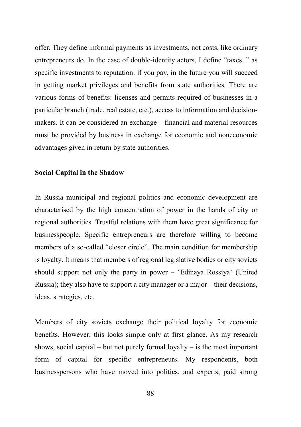offer. They define informal payments as investments, not costs, like ordinary entrepreneurs do. In the case of double-identity actors, I define "taxes+" as specific investments to reputation: if you pay, in the future you will succeed in getting market privileges and benefits from state authorities. There are various forms of benefits: licenses and permits required of businesses in a particular branch (trade, real estate, etc.), access to information and decisionmakers. It can be considered an exchange – financial and material resources must be provided by business in exchange for economic and noneconomic advantages given in return by state authorities.

### **Social Capital in the Shadow**

In Russia municipal and regional politics and economic development are characterised by the high concentration of power in the hands of city or regional authorities. Trustful relations with them have great significance for businesspeople. Specific entrepreneurs are therefore willing to become members of a so-called "closer circle". The main condition for membership is loyalty. It means that members of regional legislative bodies or city soviets should support not only the party in power – 'Edinaya Rossiya' (United Russia); they also have to support a city manager or a major – their decisions, ideas, strategies, etc.

Members of city soviets exchange their political loyalty for economic benefits. However, this looks simple only at first glance. As my research shows, social capital – but not purely formal loyalty – is the most important form of capital for specific entrepreneurs. My respondents, both businesspersons who have moved into politics, and experts, paid strong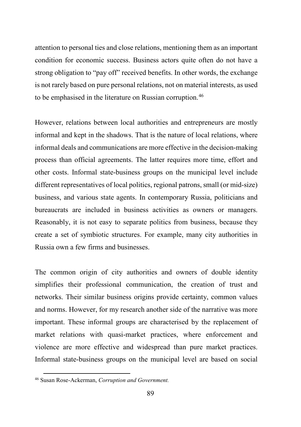attention to personal ties and close relations, mentioning them as an important condition for economic success. Business actors quite often do not have a strong obligation to "pay off" received benefits. In other words, the exchange is not rarely based on pure personal relations, not on material interests, as used to be emphasised in the literature on Russian corruption.<sup>[46](#page-26-0)</sup>

However, relations between local authorities and entrepreneurs are mostly informal and kept in the shadows. That is the nature of local relations, where informal deals and communications are more effective in the decision-making process than official agreements. The latter requires more time, effort and other costs. Informal state-business groups on the municipal level include different representatives of local politics, regional patrons, small (or mid-size) business, and various state agents. In contemporary Russia, politicians and bureaucrats are included in business activities as owners or managers. Reasonably, it is not easy to separate politics from business, because they create a set of symbiotic structures. For example, many city authorities in Russia own a few firms and businesses.

The common origin of city authorities and owners of double identity simplifies their professional communication, the creation of trust and networks. Their similar business origins provide certainty, common values and norms. However, for my research another side of the narrative was more important. These informal groups are characterised by the replacement of market relations with quasi-market practices, where enforcement and violence are more effective and widespread than pure market practices. Informal state-business groups on the municipal level are based on social

<span id="page-26-0"></span><sup>46</sup> Susan Rose-Ackerman, *Corruption and Government.*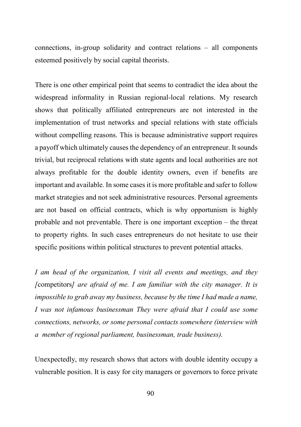connections, in-group solidarity and contract relations – all components esteemed positively by social capital theorists.

There is one other empirical point that seems to contradict the idea about the widespread informality in Russian regional-local relations. My research shows that politically affiliated entrepreneurs are not interested in the implementation of trust networks and special relations with state officials without compelling reasons. This is because administrative support requires a payoff which ultimately causes the dependency of an entrepreneur. It sounds trivial, but reciprocal relations with state agents and local authorities are not always profitable for the double identity owners, even if benefits are important and available. In some cases it is more profitable and safer to follow market strategies and not seek administrative resources. Personal agreements are not based on official contracts, which is why opportunism is highly probable and not preventable. There is one important exception – the threat to property rights. In such cases entrepreneurs do not hesitate to use their specific positions within political structures to prevent potential attacks.

*I am head of the organization, I visit all events and meetings, and they [*competitors*] are afraid of me. I am familiar with the city manager. It is impossible to grab away my business, because by the time I had made a name, I was not infamous businessman They were afraid that I could use some connections, networks, or some personal contacts somewhere (interview with a member of regional parliament, businessman, trade business).* 

Unexpectedly, my research shows that actors with double identity occupy a vulnerable position. It is easy for city managers or governors to force private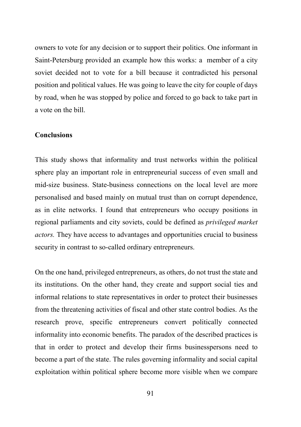owners to vote for any decision or to support their politics. One informant in Saint-Petersburg provided an example how this works: a member of a city soviet decided not to vote for a bill because it contradicted his personal position and political values. He was going to leave the city for couple of days by road, when he was stopped by police and forced to go back to take part in a vote on the bill.

#### **Conclusions**

This study shows that informality and trust networks within the political sphere play an important role in entrepreneurial success of even small and mid-size business. State-business connections on the local level are more personalised and based mainly on mutual trust than on corrupt dependence, as in elite networks. I found that entrepreneurs who occupy positions in regional parliaments and city soviets, could be defined as *privileged market actors.* They have access to advantages and opportunities crucial to business security in contrast to so-called ordinary entrepreneurs.

On the one hand, privileged entrepreneurs, as others, do not trust the state and its institutions. On the other hand, they create and support social ties and informal relations to state representatives in order to protect their businesses from the threatening activities of fiscal and other state control bodies. As the research prove, specific entrepreneurs convert politically connected informality into economic benefits. The paradox of the described practices is that in order to protect and develop their firms businesspersons need to become a part of the state. The rules governing informality and social capital exploitation within political sphere become more visible when we compare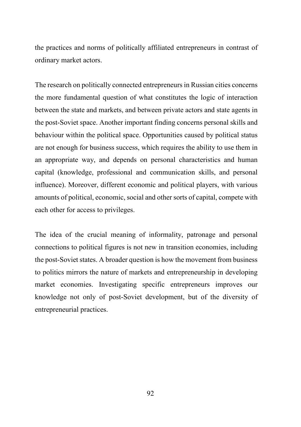the practices and norms of politically affiliated entrepreneurs in contrast of ordinary market actors.

The research on politically connected entrepreneurs in Russian cities concerns the more fundamental question of what constitutes the logic of interaction between the state and markets, and between private actors and state agents in the post-Soviet space. Another important finding concerns personal skills and behaviour within the political space. Opportunities caused by political status are not enough for business success, which requires the ability to use them in an appropriate way, and depends on personal characteristics and human capital (knowledge, professional and communication skills, and personal influence). Moreover, different economic and political players, with various amounts of political, economic, social and other sorts of capital, compete with each other for access to privileges.

The idea of the crucial meaning of informality, patronage and personal connections to political figures is not new in transition economies, including the post-Soviet states. A broader question is how the movement from business to politics mirrors the nature of markets and entrepreneurship in developing market economies. Investigating specific entrepreneurs improves our knowledge not only of post-Soviet development, but of the diversity of entrepreneurial practices.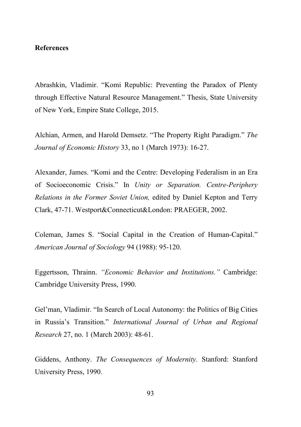### **References**

Abrashkin, Vladimir. "Komi Republic: Preventing the Paradox of Plenty through Effective Natural Resource Management." Thesis, State University of New York, Empire State College, 2015.

Alchian, Armen, and Harold Demsetz. "The Property Right Paradigm." *The Journal of Economic History* 33, no 1 (March 1973): 16-27.

Alexander, James. "Komi and the Centre: Developing Federalism in an Era of Socioeconomic Crisis." In *Unity or Separation. Centre-Periphery Relations in the Former Soviet Union,* edited by Daniel Kepton and Terry Clark, 47-71. Westport&Connecticut&London: PRAEGER, 2002.

Coleman, James S. "Social Capital in the Creation of Human-Capital." *American Journal of Sociology* 94 (1988): 95-120.

Eggertsson, Thrainn. *"Economic Behavior and Institutions."* Cambridge: Cambridge University Press, 1990.

Gel'man, Vladimir. "In Search of Local Autonomy: the Politics of Big Cities in Russia's Transition." *International Journal of Urban and Regional Research* 27, no. 1 (March 2003): 48-61.

Giddens, Anthony. *The Consequences of Modernity.* Stanford: Stanford University Press, 1990.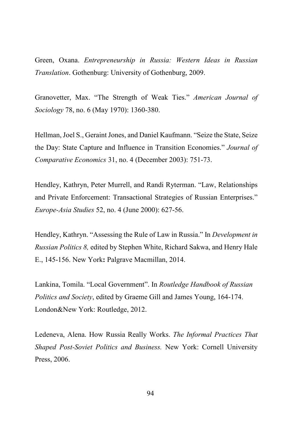Green, Oxana. *Entrepreneurship in Russia: Western Ideas in Russian Translation*. Gothenburg: University of Gothenburg, 2009.

Granovetter, Max. "The Strength of Weak Ties." *American Journal of Sociology* 78, no. 6 (May 1970): 1360-380.

Hellman, Joel S., Geraint Jones, and Daniel Kaufmann. "Seize the State, Seize the Day: State Capture and Influence in Transition Economies." *Journal of Comparative Economics* 31, no. 4 (December 2003): 751-73.

Hendley, Kathryn, Peter Murrell, and Randi Ryterman. "Law, Relationships and Private Enforcement: Transactional Strategies of Russian Enterprises." *Europe-Asia Studies* 52, no. 4 (June 2000): 627-56.

Hendley, Kathryn. "Assessing the Rule of Law in Russia." In *Development in Russian Politics 8,* edited by Stephen White, Richard Sakwa, and Henry Hale E., 145-156. New York**:** Palgrave Macmillan, 2014.

Lankina, Tomila. "Local Government". In *Routledge Handbook of Russian Politics and Society*, edited by Graeme Gill and James Young, 164-174. London&New York: Routledge, 2012.

Ledeneva, Alena. How Russia Really Works. *The Informal Practices That Shaped Post-Soviet Politics and Business.* New York: Cornell University Press, 2006.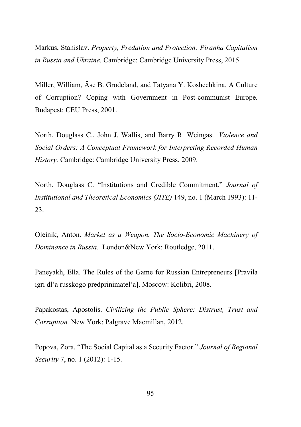Markus, Stanislav. *Property, Predation and Protection: Piranha Capitalism in Russia and Ukraine.* Cambridge: Cambridge University Press, 2015.

Miller, William, Äse B. Grodeland, and Tatyana Y. Koshechkina. A Culture of Corruption? Coping with Government in Post-communist Europe. Budapest: CEU Press, 2001.

North, Douglass C., John J. Wallis, and Barry R. Weingast. *Violence and Social Orders: A Conceptual Framework for Interpreting Recorded Human History.* Cambridge: Cambridge University Press, 2009.

North, Douglass C. "Institutions and Credible Commitment." *Journal of Institutional and Theoretical Economics (JITE)* 149, no. 1 (March 1993): 11- 23.

Oleinik, Anton. *Market as a Weapon. The Socio-Economic Machinery of Dominance in Russia.* London&New York: Routledge, 2011.

Paneyakh, Ella. The Rules of the Game for Russian Entrepreneurs [Pravila igri dl'a russkogo predprinimatel'a]. Moscow: Kolibri, 2008.

Papakostas, Apostolis. *Civilizing the Public Sphere: Distrust, Trust and Corruption.* New York: Palgrave Macmillan, 2012.

Popova, Zora. "The Social Capital as a Security Factor." *Journal of Regional Security* 7, no. 1 (2012): 1-15.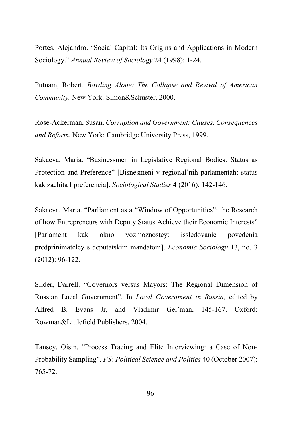Portes, Alejandro. "Social Capital: Its Origins and Applications in Modern Sociology." *Annual Review of Sociology* 24 (1998): 1-24.

Putnam, Robert. *Bowling Alone: The Collapse and Revival of American Community.* New York: Simon&Schuster, 2000.

Rose-Ackerman, Susan. *Corruption and Government: Causes, Consequences and Reform.* New York: Cambridge University Press, 1999.

Sakaeva, Maria. "Businessmen in Legislative Regional Bodies: Status as Protection and Preference" [Bisnesmeni v regional'nih parlamentah: status kak zachita I preferencia]. *Sociological Studies* 4 (2016): 142-146.

Sakaeva, Maria. "Parliament as a "Window of Opportunities": the Research of how Entrepreneurs with Deputy Status Achieve their Economic Interests" [Parlament kak okno vozmoznostey: issledovanie povedenia predprinimateley s deputatskim mandatom]. *Economic Sociology* 13, no. 3 (2012): 96-122.

Slider, Darrell. "Governors versus Mayors: The Regional Dimension of Russian Local Government". In *Local Government in Russia,* edited by Alfred B. Evans Jr, and Vladimir Gel'man, 145-167. Oxford: Rowman&Littlefield Publishers, 2004.

Tansey, Oisin. "Process Tracing and Elite Interviewing: a Case of Non-Probability Sampling". *PS: Political Science and Politics* 40 (October 2007): 765-72.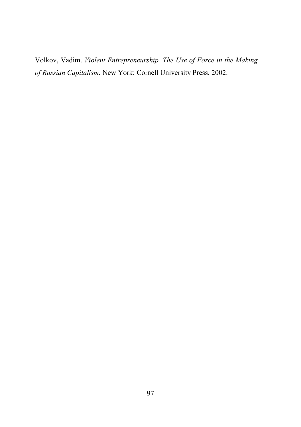Volkov, Vadim. *Violent Entrepreneurship. The Use of Force in the Making of Russian Capitalism.* New York: Cornell University Press, 2002.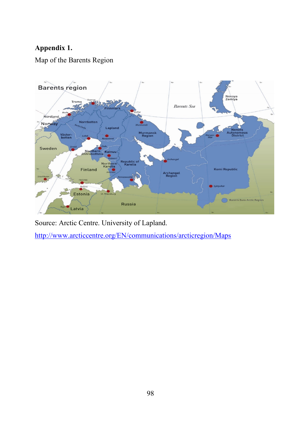# **Appendix 1.**

Map of the Barents Region



Source: Arctic Centre. University of Lapland.

<http://www.arcticcentre.org/EN/communications/arcticregion/Maps>